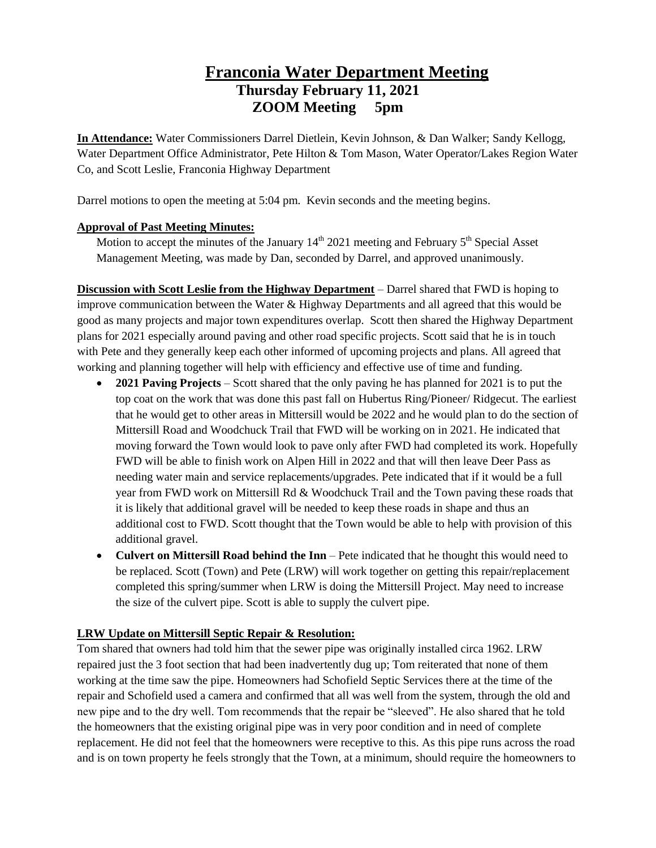# **Franconia Water Department Meeting Thursday February 11, 2021 ZOOM Meeting 5pm**

**In Attendance:** Water Commissioners Darrel Dietlein, Kevin Johnson, & Dan Walker; Sandy Kellogg, Water Department Office Administrator, Pete Hilton & Tom Mason, Water Operator/Lakes Region Water Co, and Scott Leslie, Franconia Highway Department

Darrel motions to open the meeting at 5:04 pm. Kevin seconds and the meeting begins.

#### **Approval of Past Meeting Minutes:**

Motion to accept the minutes of the January  $14<sup>th</sup> 2021$  meeting and February  $5<sup>th</sup>$  Special Asset Management Meeting, was made by Dan, seconded by Darrel, and approved unanimously.

**Discussion with Scott Leslie from the Highway Department** – Darrel shared that FWD is hoping to improve communication between the Water & Highway Departments and all agreed that this would be good as many projects and major town expenditures overlap. Scott then shared the Highway Department plans for 2021 especially around paving and other road specific projects. Scott said that he is in touch with Pete and they generally keep each other informed of upcoming projects and plans. All agreed that working and planning together will help with efficiency and effective use of time and funding.

- **2021 Paving Projects** Scott shared that the only paving he has planned for 2021 is to put the top coat on the work that was done this past fall on Hubertus Ring/Pioneer/ Ridgecut. The earliest that he would get to other areas in Mittersill would be 2022 and he would plan to do the section of Mittersill Road and Woodchuck Trail that FWD will be working on in 2021. He indicated that moving forward the Town would look to pave only after FWD had completed its work. Hopefully FWD will be able to finish work on Alpen Hill in 2022 and that will then leave Deer Pass as needing water main and service replacements/upgrades. Pete indicated that if it would be a full year from FWD work on Mittersill Rd & Woodchuck Trail and the Town paving these roads that it is likely that additional gravel will be needed to keep these roads in shape and thus an additional cost to FWD. Scott thought that the Town would be able to help with provision of this additional gravel.
- **Culvert on Mittersill Road behind the Inn** Pete indicated that he thought this would need to be replaced. Scott (Town) and Pete (LRW) will work together on getting this repair/replacement completed this spring/summer when LRW is doing the Mittersill Project. May need to increase the size of the culvert pipe. Scott is able to supply the culvert pipe.

### **LRW Update on Mittersill Septic Repair & Resolution:**

Tom shared that owners had told him that the sewer pipe was originally installed circa 1962. LRW repaired just the 3 foot section that had been inadvertently dug up; Tom reiterated that none of them working at the time saw the pipe. Homeowners had Schofield Septic Services there at the time of the repair and Schofield used a camera and confirmed that all was well from the system, through the old and new pipe and to the dry well. Tom recommends that the repair be "sleeved". He also shared that he told the homeowners that the existing original pipe was in very poor condition and in need of complete replacement. He did not feel that the homeowners were receptive to this. As this pipe runs across the road and is on town property he feels strongly that the Town, at a minimum, should require the homeowners to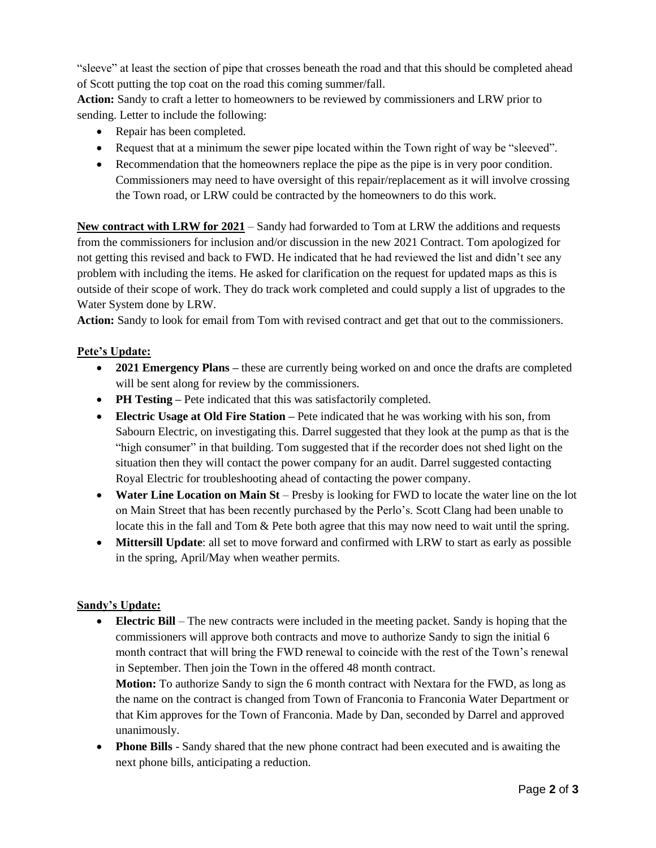"sleeve" at least the section of pipe that crosses beneath the road and that this should be completed ahead of Scott putting the top coat on the road this coming summer/fall.

**Action:** Sandy to craft a letter to homeowners to be reviewed by commissioners and LRW prior to sending. Letter to include the following:

- Repair has been completed.
- Request that at a minimum the sewer pipe located within the Town right of way be "sleeved".
- Recommendation that the homeowners replace the pipe as the pipe is in very poor condition. Commissioners may need to have oversight of this repair/replacement as it will involve crossing the Town road, or LRW could be contracted by the homeowners to do this work.

**New contract with LRW for 2021** – Sandy had forwarded to Tom at LRW the additions and requests from the commissioners for inclusion and/or discussion in the new 2021 Contract. Tom apologized for not getting this revised and back to FWD. He indicated that he had reviewed the list and didn't see any problem with including the items. He asked for clarification on the request for updated maps as this is outside of their scope of work. They do track work completed and could supply a list of upgrades to the Water System done by LRW.

**Action:** Sandy to look for email from Tom with revised contract and get that out to the commissioners.

## **Pete's Update:**

- **2021 Emergency Plans** these are currently being worked on and once the drafts are completed will be sent along for review by the commissioners.
- **PH Testing –** Pete indicated that this was satisfactorily completed.
- **Electric Usage at Old Fire Station –** Pete indicated that he was working with his son, from Sabourn Electric, on investigating this. Darrel suggested that they look at the pump as that is the "high consumer" in that building. Tom suggested that if the recorder does not shed light on the situation then they will contact the power company for an audit. Darrel suggested contacting Royal Electric for troubleshooting ahead of contacting the power company.
- **Water Line Location on Main St** Presby is looking for FWD to locate the water line on the lot on Main Street that has been recently purchased by the Perlo's. Scott Clang had been unable to locate this in the fall and Tom & Pete both agree that this may now need to wait until the spring.
- **Mittersill Update**: all set to move forward and confirmed with LRW to start as early as possible in the spring, April/May when weather permits.

### **Sandy's Update:**

 **Electric Bill** – The new contracts were included in the meeting packet. Sandy is hoping that the commissioners will approve both contracts and move to authorize Sandy to sign the initial 6 month contract that will bring the FWD renewal to coincide with the rest of the Town's renewal in September. Then join the Town in the offered 48 month contract.

**Motion:** To authorize Sandy to sign the 6 month contract with Nextara for the FWD, as long as the name on the contract is changed from Town of Franconia to Franconia Water Department or that Kim approves for the Town of Franconia. Made by Dan, seconded by Darrel and approved unanimously.

 **Phone Bills** - Sandy shared that the new phone contract had been executed and is awaiting the next phone bills, anticipating a reduction.